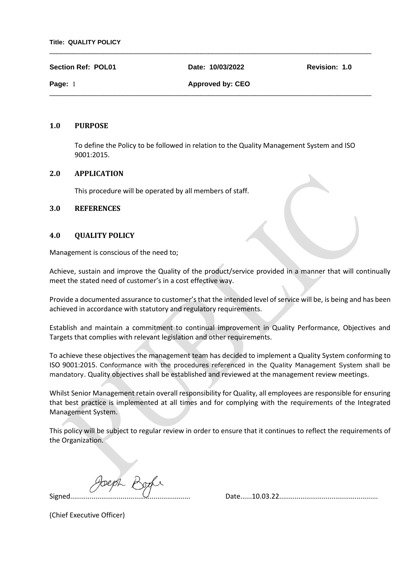**Section Ref: POL01 Date: 10/03/2022 Revision: 1.0**

\_\_\_\_\_\_\_\_\_\_\_\_\_\_\_\_\_\_\_\_\_\_\_\_\_\_\_\_\_\_\_\_\_\_\_\_\_\_\_\_\_\_\_\_\_\_\_\_\_\_\_\_\_\_\_\_\_\_\_\_\_\_\_\_\_\_\_\_\_\_\_\_\_\_\_\_\_\_\_\_\_\_\_

\_\_\_\_\_\_\_\_\_\_\_\_\_\_\_\_\_\_\_\_\_\_\_\_\_\_\_\_\_\_\_\_\_\_\_\_\_\_\_\_\_\_\_\_\_\_\_\_\_\_\_\_\_\_\_\_\_\_\_\_\_\_\_\_\_\_\_\_\_\_\_\_\_\_\_\_\_\_\_\_\_\_\_

**Page: 1 Approved by: CEO** 

## **1.0 PURPOSE**

To define the Policy to be followed in relation to the Quality Management System and ISO 9001:2015.

## **2.0 APPLICATION**

This procedure will be operated by all members of staff.

## **3.0 REFERENCES**

## **4.0 QUALITY POLICY**

Management is conscious of the need to;

Achieve, sustain and improve the Quality of the product/service provided in a manner that will continually meet the stated need of customer's in a cost effective way.

Provide a documented assurance to customer's that the intended level of service will be, is being and has been achieved in accordance with statutory and regulatory requirements.

Establish and maintain a commitment to continual improvement in Quality Performance, Objectives and Targets that complies with relevant legislation and other requirements.

To achieve these objectives the management team has decided to implement a Quality System conforming to ISO 9001:2015. Conformance with the procedures referenced in the Quality Management System shall be mandatory. Quality objectives shall be established and reviewed at the management review meetings.

Whilst Senior Management retain overall responsibility for Quality, all employees are responsible for ensuring that best practice is implemented at all times and for complying with the requirements of the Integrated Management System.

This policy will be subject to regular review in order to ensure that it continues to reflect the requirements of the Organization.

Joeph Boch

(Chief Executive Officer)